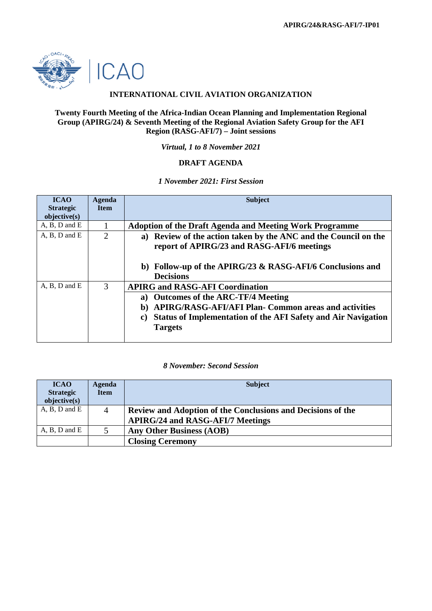

### **INTERNATIONAL CIVIL AVIATION ORGANIZATION**

#### **Twenty Fourth Meeting of the Africa-Indian Ocean Planning and Implementation Regional Group (APIRG/24) & Seventh Meeting of the Regional Aviation Safety Group for the AFI Region (RASG-AFI/7) – Joint sessions**

*Virtual, 1 to 8 November 2021*

### **DRAFT AGENDA**

### *1 November 2021: First Session*

| <b>ICAO</b>       | Agenda         | <b>Subject</b>                                                             |
|-------------------|----------------|----------------------------------------------------------------------------|
| <b>Strategic</b>  | <b>Item</b>    |                                                                            |
| objective(s)      |                |                                                                            |
| $A, B, D$ and $E$ |                | <b>Adoption of the Draft Agenda and Meeting Work Programme</b>             |
| $A, B, D$ and $E$ | $\overline{2}$ | Review of the action taken by the ANC and the Council on the<br>a)         |
|                   |                | report of APIRG/23 and RASG-AFI/6 meetings                                 |
|                   |                |                                                                            |
|                   |                | b) Follow-up of the APIRG/23 & RASG-AFI/6 Conclusions and                  |
|                   |                | <b>Decisions</b>                                                           |
| $A, B, D$ and $E$ | 3              | <b>APIRG and RASG-AFI Coordination</b>                                     |
|                   |                | <b>Outcomes of the ARC-TF/4 Meeting</b><br>a)                              |
|                   |                | <b>APIRG/RASG-AFI/AFI Plan- Common areas and activities</b><br>b)          |
|                   |                | <b>Status of Implementation of the AFI Safety and Air Navigation</b><br>C) |
|                   |                | <b>Targets</b>                                                             |
|                   |                |                                                                            |

#### *8 November: Second Session*

| <b>ICAO</b><br><b>Strategic</b><br>objective(s) | <b>Agenda</b><br><b>Item</b> | <b>Subject</b>                                                                                         |
|-------------------------------------------------|------------------------------|--------------------------------------------------------------------------------------------------------|
| $A, B, D$ and $E$                               | 4                            | Review and Adoption of the Conclusions and Decisions of the<br><b>APIRG/24 and RASG-AFI/7 Meetings</b> |
| $A, B, D$ and $E$                               |                              | <b>Any Other Business (AOB)</b>                                                                        |
|                                                 |                              | <b>Closing Ceremony</b>                                                                                |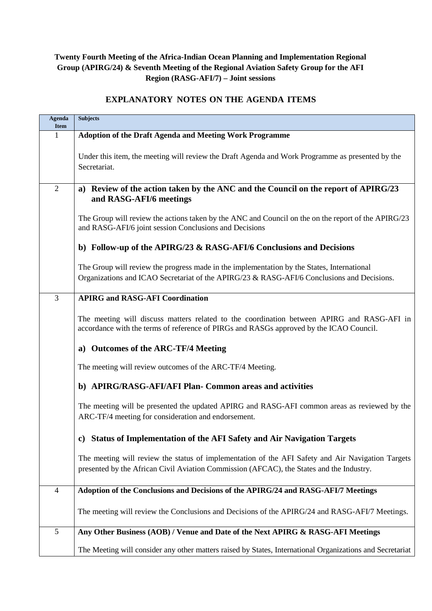# **Twenty Fourth Meeting of the Africa-Indian Ocean Planning and Implementation Regional Group (APIRG/24) & Seventh Meeting of the Regional Aviation Safety Group for the AFI Region (RASG-AFI/7) – Joint sessions**

## **EXPLANATORY NOTES ON THE AGENDA ITEMS**

| Agenda<br><b>Item</b> | <b>Subjects</b>                                                                                                                                                                               |  |  |  |  |
|-----------------------|-----------------------------------------------------------------------------------------------------------------------------------------------------------------------------------------------|--|--|--|--|
| 1                     | <b>Adoption of the Draft Agenda and Meeting Work Programme</b>                                                                                                                                |  |  |  |  |
|                       | Under this item, the meeting will review the Draft Agenda and Work Programme as presented by the<br>Secretariat.                                                                              |  |  |  |  |
| $\overline{2}$        | a) Review of the action taken by the ANC and the Council on the report of APIRG/23<br>and RASG-AFI/6 meetings                                                                                 |  |  |  |  |
|                       | The Group will review the actions taken by the ANC and Council on the on the report of the APIRG/23<br>and RASG-AFI/6 joint session Conclusions and Decisions                                 |  |  |  |  |
|                       | b) Follow-up of the APIRG/23 & RASG-AFI/6 Conclusions and Decisions                                                                                                                           |  |  |  |  |
|                       | The Group will review the progress made in the implementation by the States, International<br>Organizations and ICAO Secretariat of the APIRG/23 & RASG-AFI/6 Conclusions and Decisions.      |  |  |  |  |
| 3                     | <b>APIRG and RASG-AFI Coordination</b>                                                                                                                                                        |  |  |  |  |
|                       | The meeting will discuss matters related to the coordination between APIRG and RASG-AFI in<br>accordance with the terms of reference of PIRGs and RASGs approved by the ICAO Council.         |  |  |  |  |
|                       | a) Outcomes of the ARC-TF/4 Meeting                                                                                                                                                           |  |  |  |  |
|                       | The meeting will review outcomes of the ARC-TF/4 Meeting.                                                                                                                                     |  |  |  |  |
|                       | b) APIRG/RASG-AFI/AFI Plan- Common areas and activities                                                                                                                                       |  |  |  |  |
|                       | The meeting will be presented the updated APIRG and RASG-AFI common areas as reviewed by the<br>ARC-TF/4 meeting for consideration and endorsement.                                           |  |  |  |  |
|                       | c) Status of Implementation of the AFI Safety and Air Navigation Targets                                                                                                                      |  |  |  |  |
|                       | The meeting will review the status of implementation of the AFI Safety and Air Navigation Targets<br>presented by the African Civil Aviation Commission (AFCAC), the States and the Industry. |  |  |  |  |
| $\overline{4}$        | Adoption of the Conclusions and Decisions of the APIRG/24 and RASG-AFI/7 Meetings                                                                                                             |  |  |  |  |
|                       | The meeting will review the Conclusions and Decisions of the APIRG/24 and RASG-AFI/7 Meetings.                                                                                                |  |  |  |  |
| 5                     | Any Other Business (AOB) / Venue and Date of the Next APIRG & RASG-AFI Meetings                                                                                                               |  |  |  |  |
|                       | The Meeting will consider any other matters raised by States, International Organizations and Secretariat                                                                                     |  |  |  |  |